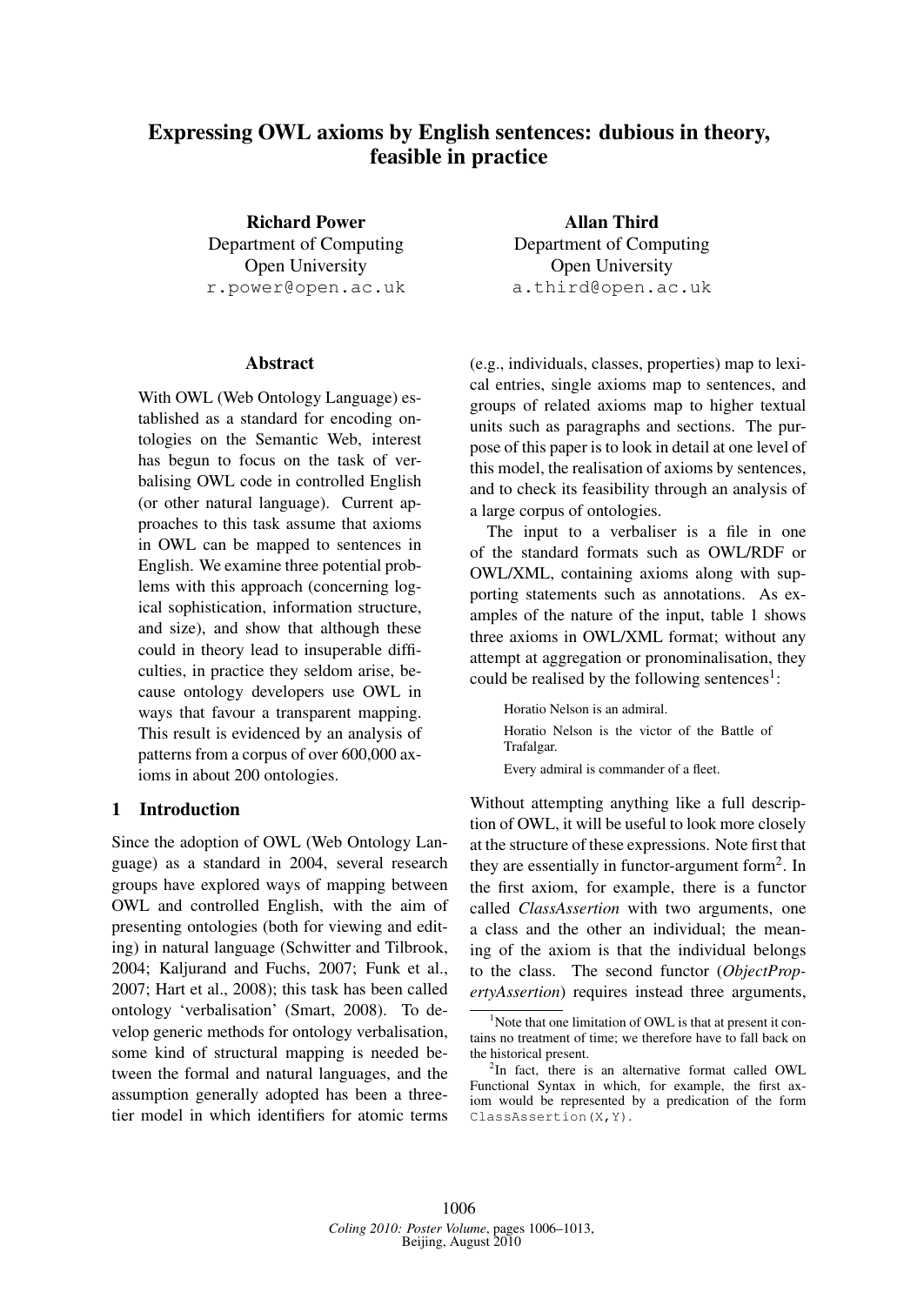# Expressing OWL axioms by English sentences: dubious in theory, feasible in practice

Richard Power Department of Computing Open University r.power@open.ac.uk

## Abstract

With OWL (Web Ontology Language) established as a standard for encoding ontologies on the Semantic Web, interest has begun to focus on the task of verbalising OWL code in controlled English (or other natural language). Current approaches to this task assume that axioms in OWL can be mapped to sentences in English. We examine three potential problems with this approach (concerning logical sophistication, information structure, and size), and show that although these could in theory lead to insuperable difficulties, in practice they seldom arise, because ontology developers use OWL in ways that favour a transparent mapping. This result is evidenced by an analysis of patterns from a corpus of over 600,000 axioms in about 200 ontologies.

# 1 Introduction

Since the adoption of OWL (Web Ontology Language) as a standard in 2004, several research groups have explored ways of mapping between OWL and controlled English, with the aim of presenting ontologies (both for viewing and editing) in natural language (Schwitter and Tilbrook, 2004; Kaljurand and Fuchs, 2007; Funk et al., 2007; Hart et al., 2008); this task has been called ontology 'verbalisation' (Smart, 2008). To develop generic methods for ontology verbalisation, some kind of structural mapping is needed between the formal and natural languages, and the assumption generally adopted has been a threetier model in which identifiers for atomic terms

Allan Third Department of Computing Open University a.third@open.ac.uk

(e.g., individuals, classes, properties) map to lexical entries, single axioms map to sentences, and groups of related axioms map to higher textual units such as paragraphs and sections. The purpose of this paper is to look in detail at one level of this model, the realisation of axioms by sentences, and to check its feasibility through an analysis of a large corpus of ontologies.

The input to a verbaliser is a file in one of the standard formats such as OWL/RDF or OWL/XML, containing axioms along with supporting statements such as annotations. As examples of the nature of the input, table 1 shows three axioms in OWL/XML format; without any attempt at aggregation or pronominalisation, they could be realised by the following sentences<sup>1</sup>:

Horatio Nelson is an admiral. Horatio Nelson is the victor of the Battle of Trafalgar. Every admiral is commander of a fleet.

Without attempting anything like a full description of OWL, it will be useful to look more closely at the structure of these expressions. Note first that they are essentially in functor-argument form<sup>2</sup>. In the first axiom, for example, there is a functor called *ClassAssertion* with two arguments, one a class and the other an individual; the meaning of the axiom is that the individual belongs to the class. The second functor (*ObjectPropertyAssertion*) requires instead three arguments,

 $1$ Note that one limitation of OWL is that at present it contains no treatment of time; we therefore have to fall back on the historical present.

<sup>&</sup>lt;sup>2</sup>In fact, there is an alternative format called OWL Functional Syntax in which, for example, the first axiom would be represented by a predication of the form ClassAssertion(X,Y).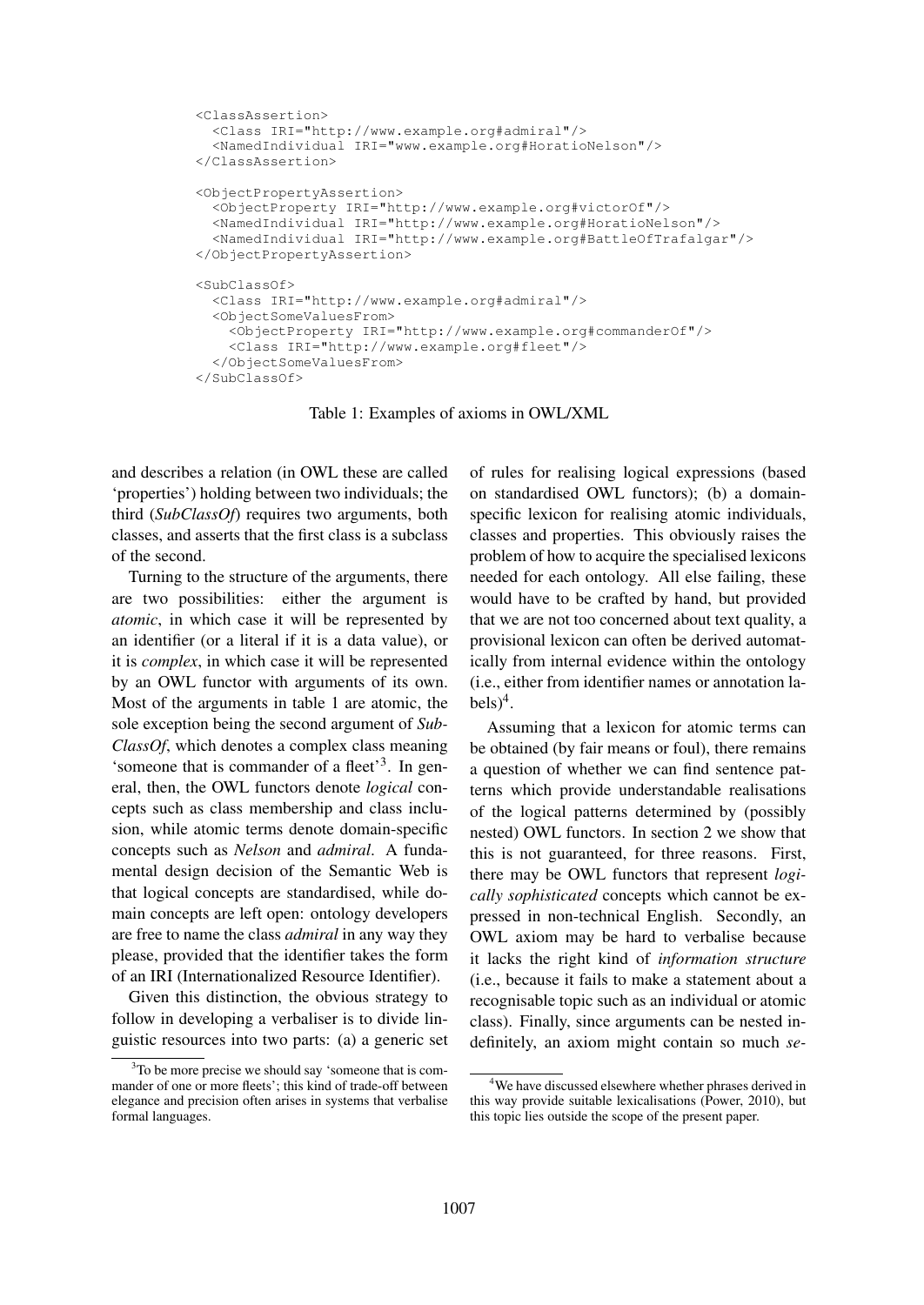```
<ClassAssertion>
  <Class IRI="http://www.example.org#admiral"/>
  <NamedIndividual IRI="www.example.org#HoratioNelson"/>
</ClassAssertion>
<ObjectPropertyAssertion>
  <ObjectProperty IRI="http://www.example.org#victorOf"/>
  <NamedIndividual IRI="http://www.example.org#HoratioNelson"/>
  <NamedIndividual IRI="http://www.example.org#BattleOfTrafalgar"/>
</ObjectPropertyAssertion>
<SubClassOf>
  <Class IRI="http://www.example.org#admiral"/>
  <ObjectSomeValuesFrom>
    <ObjectProperty IRI="http://www.example.org#commanderOf"/>
    <Class IRI="http://www.example.org#fleet"/>
  </ObjectSomeValuesFrom>
</SubClassOf>
```
Table 1: Examples of axioms in OWL/XML

and describes a relation (in OWL these are called 'properties') holding between two individuals; the third (*SubClassOf*) requires two arguments, both classes, and asserts that the first class is a subclass of the second.

Turning to the structure of the arguments, there are two possibilities: either the argument is *atomic*, in which case it will be represented by an identifier (or a literal if it is a data value), or it is *complex*, in which case it will be represented by an OWL functor with arguments of its own. Most of the arguments in table 1 are atomic, the sole exception being the second argument of *Sub-ClassOf*, which denotes a complex class meaning 'someone that is commander of a fleet'<sup>3</sup>. In general, then, the OWL functors denote *logical* concepts such as class membership and class inclusion, while atomic terms denote domain-specific concepts such as *Nelson* and *admiral*. A fundamental design decision of the Semantic Web is that logical concepts are standardised, while domain concepts are left open: ontology developers are free to name the class *admiral* in any way they please, provided that the identifier takes the form of an IRI (Internationalized Resource Identifier).

Given this distinction, the obvious strategy to follow in developing a verbaliser is to divide linguistic resources into two parts: (a) a generic set of rules for realising logical expressions (based on standardised OWL functors); (b) a domainspecific lexicon for realising atomic individuals, classes and properties. This obviously raises the problem of how to acquire the specialised lexicons needed for each ontology. All else failing, these would have to be crafted by hand, but provided that we are not too concerned about text quality, a provisional lexicon can often be derived automatically from internal evidence within the ontology (i.e., either from identifier names or annotation la $bels)^4$ .

Assuming that a lexicon for atomic terms can be obtained (by fair means or foul), there remains a question of whether we can find sentence patterns which provide understandable realisations of the logical patterns determined by (possibly nested) OWL functors. In section 2 we show that this is not guaranteed, for three reasons. First, there may be OWL functors that represent *logically sophisticated* concepts which cannot be expressed in non-technical English. Secondly, an OWL axiom may be hard to verbalise because it lacks the right kind of *information structure* (i.e., because it fails to make a statement about a recognisable topic such as an individual or atomic class). Finally, since arguments can be nested indefinitely, an axiom might contain so much *se-*

<sup>&</sup>lt;sup>3</sup>To be more precise we should say 'someone that is commander of one or more fleets'; this kind of trade-off between elegance and precision often arises in systems that verbalise formal languages.

<sup>&</sup>lt;sup>4</sup>We have discussed elsewhere whether phrases derived in this way provide suitable lexicalisations (Power, 2010), but this topic lies outside the scope of the present paper.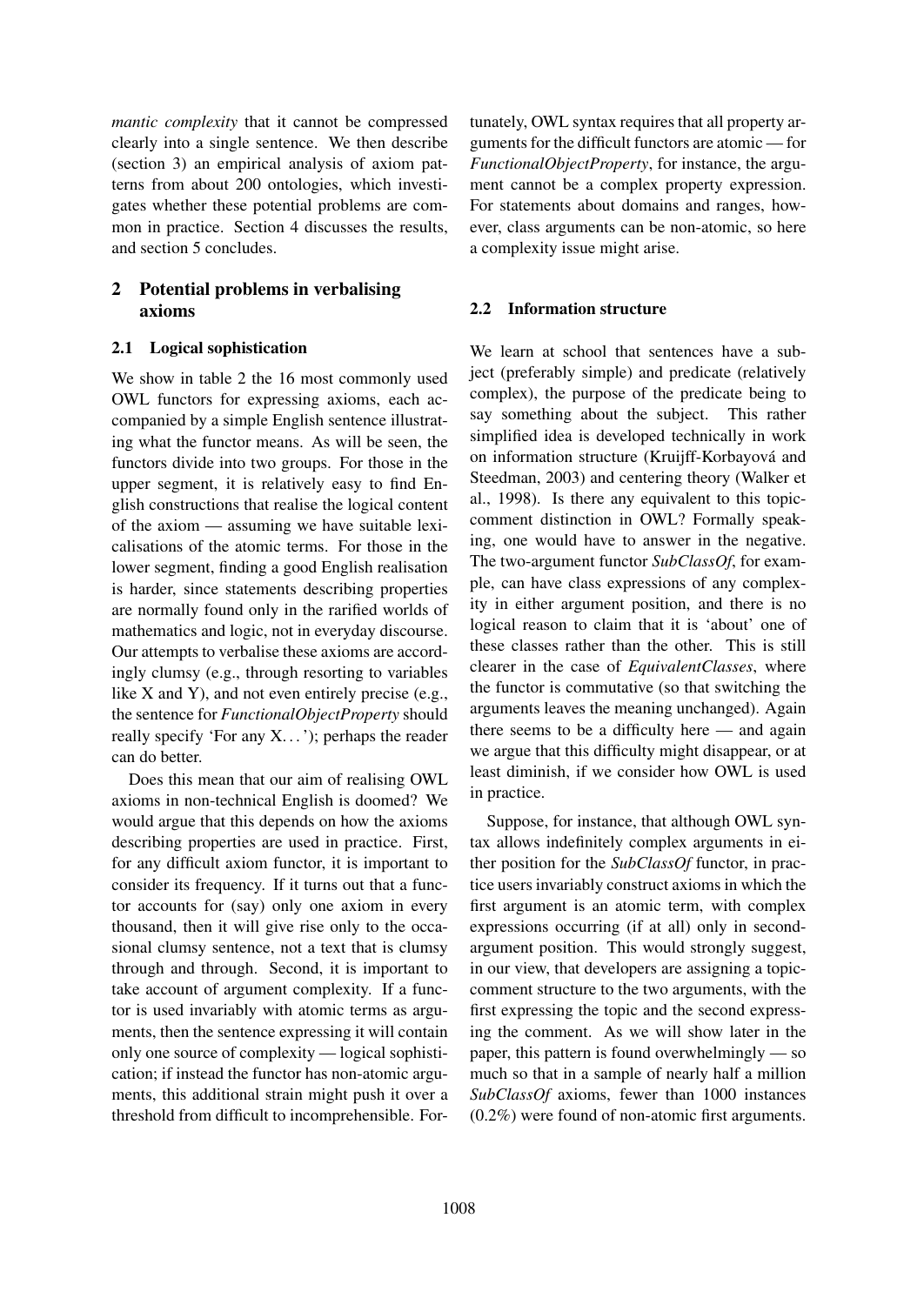*mantic complexity* that it cannot be compressed clearly into a single sentence. We then describe (section 3) an empirical analysis of axiom patterns from about 200 ontologies, which investigates whether these potential problems are common in practice. Section 4 discusses the results, and section 5 concludes.

# 2 Potential problems in verbalising axioms

# 2.1 Logical sophistication

We show in table 2 the 16 most commonly used OWL functors for expressing axioms, each accompanied by a simple English sentence illustrating what the functor means. As will be seen, the functors divide into two groups. For those in the upper segment, it is relatively easy to find English constructions that realise the logical content of the axiom — assuming we have suitable lexicalisations of the atomic terms. For those in the lower segment, finding a good English realisation is harder, since statements describing properties are normally found only in the rarified worlds of mathematics and logic, not in everyday discourse. Our attempts to verbalise these axioms are accordingly clumsy (e.g., through resorting to variables like X and Y), and not even entirely precise (e.g., the sentence for *FunctionalObjectProperty* should really specify 'For any X. . . '); perhaps the reader can do better.

Does this mean that our aim of realising OWL axioms in non-technical English is doomed? We would argue that this depends on how the axioms describing properties are used in practice. First, for any difficult axiom functor, it is important to consider its frequency. If it turns out that a functor accounts for (say) only one axiom in every thousand, then it will give rise only to the occasional clumsy sentence, not a text that is clumsy through and through. Second, it is important to take account of argument complexity. If a functor is used invariably with atomic terms as arguments, then the sentence expressing it will contain only one source of complexity — logical sophistication; if instead the functor has non-atomic arguments, this additional strain might push it over a threshold from difficult to incomprehensible. Fortunately, OWL syntax requires that all property arguments for the difficult functors are atomic — for *FunctionalObjectProperty*, for instance, the argument cannot be a complex property expression. For statements about domains and ranges, however, class arguments can be non-atomic, so here a complexity issue might arise.

#### 2.2 Information structure

We learn at school that sentences have a subject (preferably simple) and predicate (relatively complex), the purpose of the predicate being to say something about the subject. This rather simplified idea is developed technically in work on information structure (Kruijff-Korbayová and Steedman, 2003) and centering theory (Walker et al., 1998). Is there any equivalent to this topiccomment distinction in OWL? Formally speaking, one would have to answer in the negative. The two-argument functor *SubClassOf*, for example, can have class expressions of any complexity in either argument position, and there is no logical reason to claim that it is 'about' one of these classes rather than the other. This is still clearer in the case of *EquivalentClasses*, where the functor is commutative (so that switching the arguments leaves the meaning unchanged). Again there seems to be a difficulty here — and again we argue that this difficulty might disappear, or at least diminish, if we consider how OWL is used in practice.

Suppose, for instance, that although OWL syntax allows indefinitely complex arguments in either position for the *SubClassOf* functor, in practice users invariably construct axioms in which the first argument is an atomic term, with complex expressions occurring (if at all) only in secondargument position. This would strongly suggest, in our view, that developers are assigning a topiccomment structure to the two arguments, with the first expressing the topic and the second expressing the comment. As we will show later in the paper, this pattern is found overwhelmingly — so much so that in a sample of nearly half a million *SubClassOf* axioms, fewer than 1000 instances (0.2%) were found of non-atomic first arguments.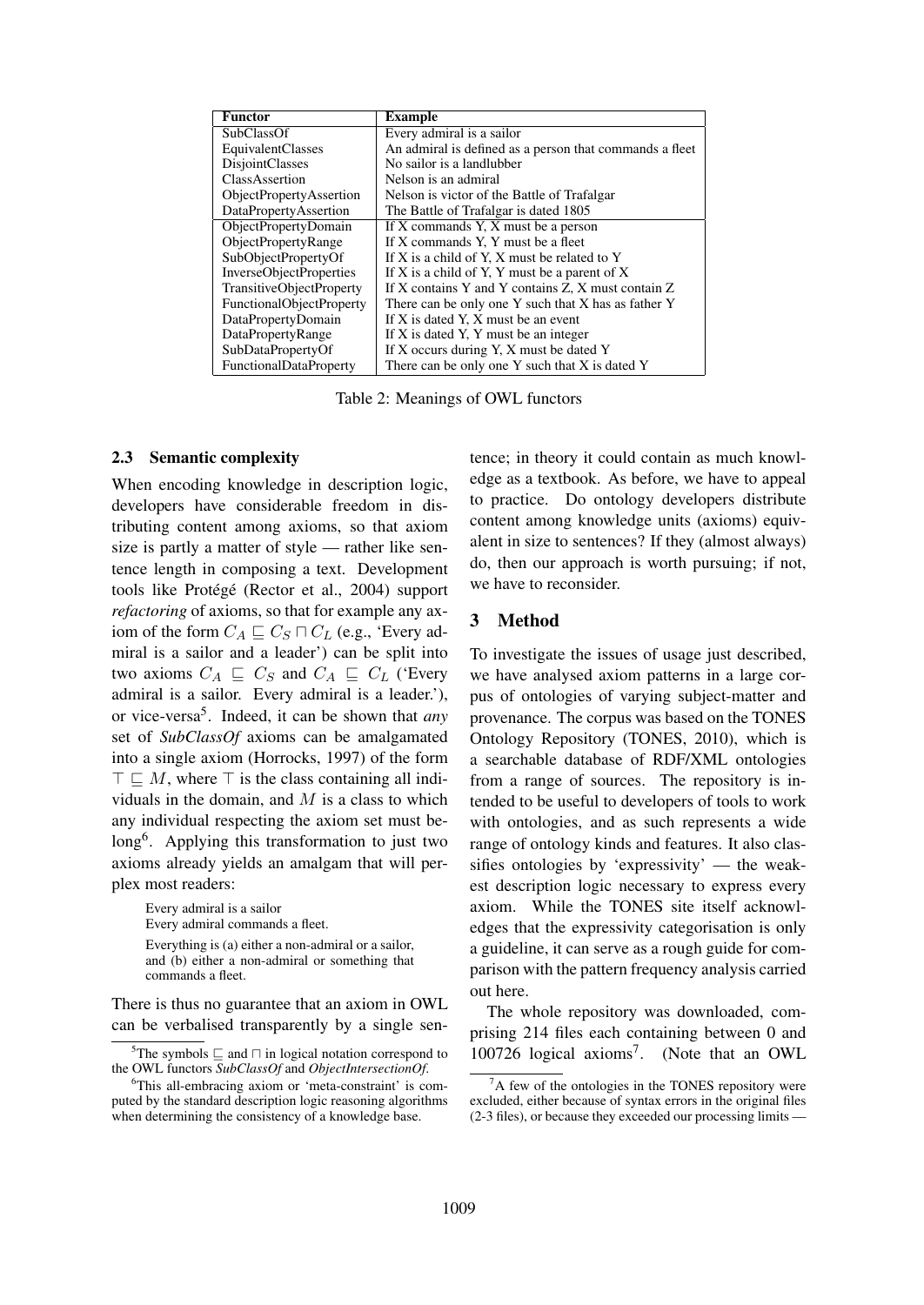| <b>Functor</b>                 | <b>Example</b>                                          |
|--------------------------------|---------------------------------------------------------|
| <b>SubClassOf</b>              | Every admiral is a sailor                               |
| <b>EquivalentClasses</b>       | An admiral is defined as a person that commands a fleet |
| <b>DisjointClasses</b>         | No sailor is a landlubber                               |
| ClassAssertion                 | Nelson is an admiral                                    |
| ObjectPropertyAssertion        | Nelson is victor of the Battle of Trafalgar             |
| <b>DataPropertyAssertion</b>   | The Battle of Trafalgar is dated 1805                   |
| ObjectPropertyDomain           | If X commands Y, X must be a person                     |
| <b>ObjectPropertyRange</b>     | If X commands Y, Y must be a fleet                      |
| SubObjectPropertyOf            | If X is a child of Y. X must be related to Y            |
| <b>InverseObjectProperties</b> | If X is a child of Y, Y must be a parent of X           |
| TransitiveObjectProperty       | If X contains Y and Y contains Z, X must contain Z      |
| FunctionalObjectProperty       | There can be only one Y such that X has as father Y     |
| DataPropertyDomain             | If X is dated Y, X must be an event                     |
| DataPropertyRange              | If X is dated Y, Y must be an integer                   |
| SubDataPropertyOf              | If X occurs during Y, X must be dated Y                 |
| <b>FunctionalDataProperty</b>  | There can be only one Y such that X is dated Y          |

Table 2: Meanings of OWL functors

#### 2.3 Semantic complexity

When encoding knowledge in description logic, developers have considerable freedom in distributing content among axioms, so that axiom size is partly a matter of style — rather like sentence length in composing a text. Development tools like Protégé (Rector et al., 2004) support *refactoring* of axioms, so that for example any axiom of the form  $C_A \sqsubseteq C_S \sqcap C_L$  (e.g., 'Every admiral is a sailor and a leader') can be split into two axioms  $C_A \subseteq C_S$  and  $C_A \subseteq C_L$  ('Every admiral is a sailor. Every admiral is a leader.'), or vice-versa<sup>5</sup> . Indeed, it can be shown that *any* set of *SubClassOf* axioms can be amalgamated into a single axiom (Horrocks, 1997) of the form  $\top \sqsubseteq M$ , where  $\top$  is the class containing all individuals in the domain, and  $M$  is a class to which any individual respecting the axiom set must belong<sup>6</sup>. Applying this transformation to just two axioms already yields an amalgam that will perplex most readers:

Every admiral is a sailor Every admiral commands a fleet. Everything is (a) either a non-admiral or a sailor, and (b) either a non-admiral or something that commands a fleet.

There is thus no guarantee that an axiom in OWL can be verbalised transparently by a single sentence; in theory it could contain as much knowledge as a textbook. As before, we have to appeal to practice. Do ontology developers distribute content among knowledge units (axioms) equivalent in size to sentences? If they (almost always) do, then our approach is worth pursuing; if not, we have to reconsider.

## 3 Method

To investigate the issues of usage just described, we have analysed axiom patterns in a large corpus of ontologies of varying subject-matter and provenance. The corpus was based on the TONES Ontology Repository (TONES, 2010), which is a searchable database of RDF/XML ontologies from a range of sources. The repository is intended to be useful to developers of tools to work with ontologies, and as such represents a wide range of ontology kinds and features. It also classifies ontologies by 'expressivity' — the weakest description logic necessary to express every axiom. While the TONES site itself acknowledges that the expressivity categorisation is only a guideline, it can serve as a rough guide for comparison with the pattern frequency analysis carried out here.

The whole repository was downloaded, comprising 214 files each containing between 0 and 100726 logical axioms<sup>7</sup> . (Note that an OWL

 ${}^{5}$ The symbols  $\sqsubseteq$  and  $\sqcap$  in logical notation correspond to the OWL functors *SubClassOf* and *ObjectIntersectionOf*.

<sup>&</sup>lt;sup>6</sup>This all-embracing axiom or 'meta-constraint' is computed by the standard description logic reasoning algorithms when determining the consistency of a knowledge base.

 ${}^{7}$ A few of the ontologies in the TONES repository were excluded, either because of syntax errors in the original files (2-3 files), or because they exceeded our processing limits —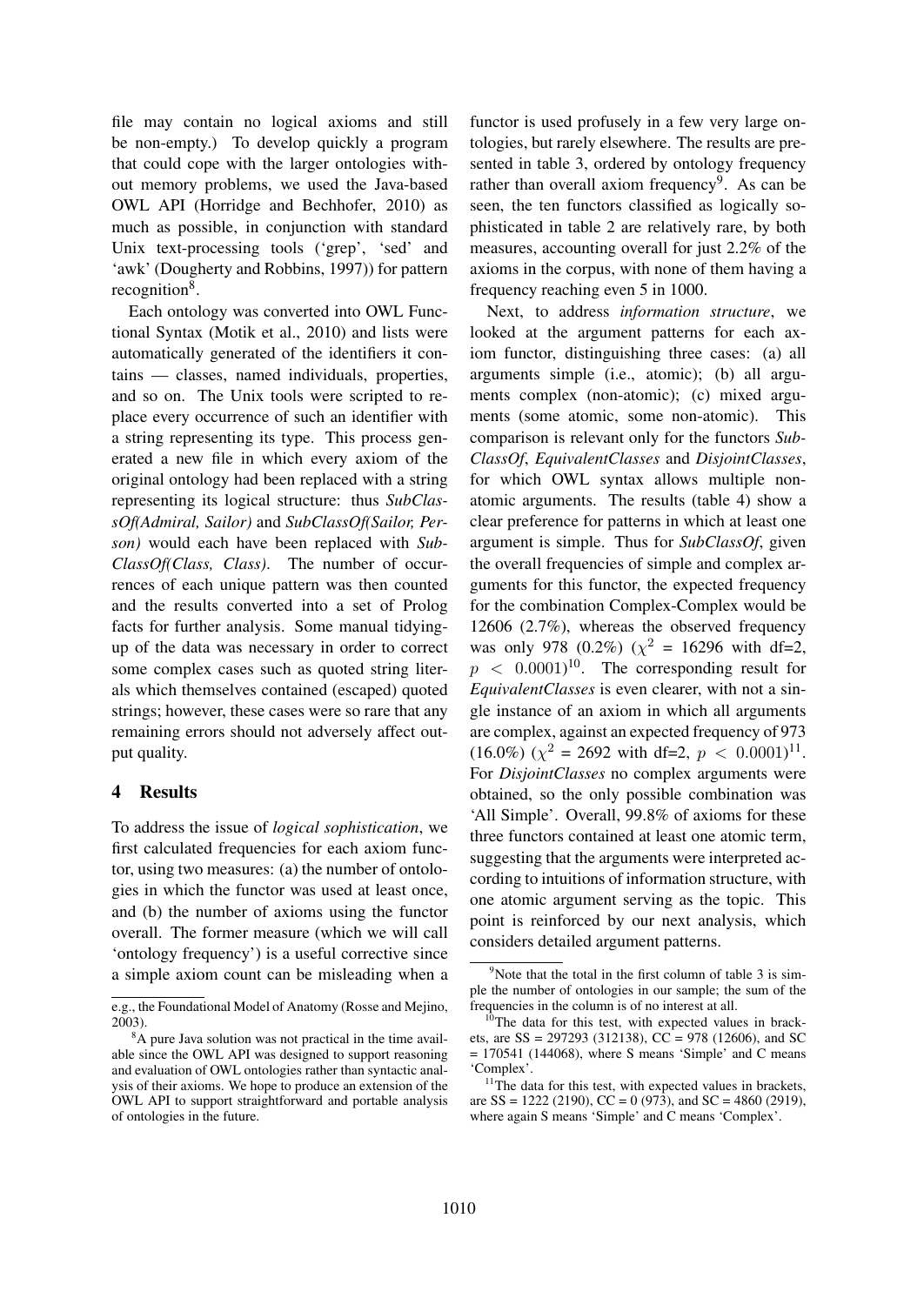file may contain no logical axioms and still be non-empty.) To develop quickly a program that could cope with the larger ontologies without memory problems, we used the Java-based OWL API (Horridge and Bechhofer, 2010) as much as possible, in conjunction with standard Unix text-processing tools ('grep', 'sed' and 'awk' (Dougherty and Robbins, 1997)) for pattern recognition<sup>8</sup>.

Each ontology was converted into OWL Functional Syntax (Motik et al., 2010) and lists were automatically generated of the identifiers it contains — classes, named individuals, properties, and so on. The Unix tools were scripted to replace every occurrence of such an identifier with a string representing its type. This process generated a new file in which every axiom of the original ontology had been replaced with a string representing its logical structure: thus *SubClassOf(Admiral, Sailor)* and *SubClassOf(Sailor, Person)* would each have been replaced with *Sub-ClassOf(Class, Class)*. The number of occurrences of each unique pattern was then counted and the results converted into a set of Prolog facts for further analysis. Some manual tidyingup of the data was necessary in order to correct some complex cases such as quoted string literals which themselves contained (escaped) quoted strings; however, these cases were so rare that any remaining errors should not adversely affect output quality.

# 4 Results

To address the issue of *logical sophistication*, we first calculated frequencies for each axiom functor, using two measures: (a) the number of ontologies in which the functor was used at least once, and (b) the number of axioms using the functor overall. The former measure (which we will call 'ontology frequency') is a useful corrective since a simple axiom count can be misleading when a functor is used profusely in a few very large ontologies, but rarely elsewhere. The results are presented in table 3, ordered by ontology frequency rather than overall axiom frequency<sup>9</sup>. As can be seen, the ten functors classified as logically sophisticated in table 2 are relatively rare, by both measures, accounting overall for just 2.2% of the axioms in the corpus, with none of them having a frequency reaching even 5 in 1000.

Next, to address *information structure*, we looked at the argument patterns for each axiom functor, distinguishing three cases: (a) all arguments simple (i.e., atomic); (b) all arguments complex (non-atomic); (c) mixed arguments (some atomic, some non-atomic). This comparison is relevant only for the functors *Sub-ClassOf*, *EquivalentClasses* and *DisjointClasses*, for which OWL syntax allows multiple nonatomic arguments. The results (table 4) show a clear preference for patterns in which at least one argument is simple. Thus for *SubClassOf*, given the overall frequencies of simple and complex arguments for this functor, the expected frequency for the combination Complex-Complex would be 12606 (2.7%), whereas the observed frequency was only 978 (0.2%) ( $\chi^2$  = 16296 with df=2,  $p \leq 0.0001$ <sup>10</sup>. The corresponding result for *EquivalentClasses* is even clearer, with not a single instance of an axiom in which all arguments are complex, against an expected frequency of 973  $(16.0\%) (\chi^2 = 2692 \text{ with df=2}, p < 0.0001)^{11}.$ For *DisjointClasses* no complex arguments were obtained, so the only possible combination was 'All Simple'. Overall, 99.8% of axioms for these three functors contained at least one atomic term, suggesting that the arguments were interpreted according to intuitions of information structure, with one atomic argument serving as the topic. This point is reinforced by our next analysis, which considers detailed argument patterns.

e.g., the Foundational Model of Anatomy (Rosse and Mejino, 2003).

<sup>&</sup>lt;sup>8</sup>A pure Java solution was not practical in the time available since the OWL API was designed to support reasoning and evaluation of OWL ontologies rather than syntactic analysis of their axioms. We hope to produce an extension of the OWL API to support straightforward and portable analysis of ontologies in the future.

 $9^9$ Note that the total in the first column of table 3 is simple the number of ontologies in our sample; the sum of the frequencies in the column is of no interest at all.

 $10$ The data for this test, with expected values in brackets, are SS = 297293 (312138), CC = 978 (12606), and SC  $= 170541$  (144068), where S means 'Simple' and C means 'Complex'.

 $11$ The data for this test, with expected values in brackets, are  $SS = 1222$  (2190),  $CC = 0$  (973), and  $SC = 4860$  (2919), where again S means 'Simple' and C means 'Complex'.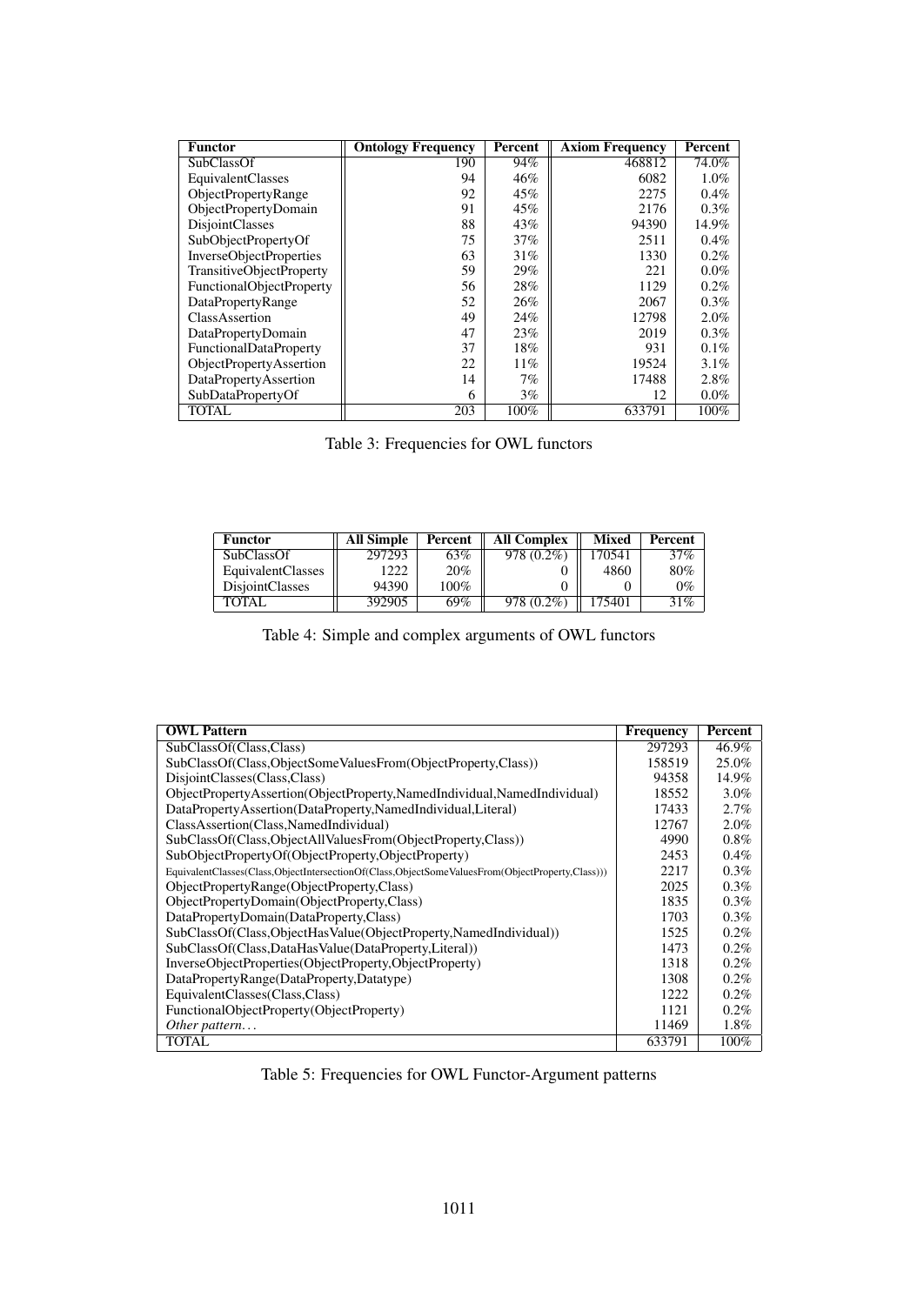| <b>Functor</b>                 | <b>Ontology Frequency</b> | Percent | <b>Axiom Frequency</b> | Percent |
|--------------------------------|---------------------------|---------|------------------------|---------|
| <b>SubClassOf</b>              | 190                       | 94%     | 468812                 | 74.0%   |
| <b>EquivalentClasses</b>       | 94                        | 46%     | 6082                   | $1.0\%$ |
| <b>ObjectPropertyRange</b>     | 92                        | 45%     | 2275                   | $0.4\%$ |
| ObjectPropertyDomain           | 91                        | 45%     | 2176                   | 0.3%    |
| <b>DisjointClasses</b>         | 88                        | 43%     | 94390                  | 14.9%   |
| SubObjectPropertyOf            | 75                        | $37\%$  | 2511                   | $0.4\%$ |
| <b>InverseObjectProperties</b> | 63                        | 31%     | 1330                   | $0.2\%$ |
| TransitiveObjectProperty       | 59                        | 29%     | 221                    | $0.0\%$ |
| FunctionalObjectProperty       | 56                        | 28%     | 1129                   | $0.2\%$ |
| DataPropertyRange              | 52                        | 26%     | 2067                   | 0.3%    |
| ClassAssertion                 | 49                        | 24%     | 12798                  | $2.0\%$ |
| DataPropertyDomain             | 47                        | 23%     | 2019                   | $0.3\%$ |
| <b>FunctionalDataProperty</b>  | 37                        | 18%     | 931                    | 0.1%    |
| ObjectPropertyAssertion        | 22                        | 11%     | 19524                  | $3.1\%$ |
| DataPropertyAssertion          | 14                        | 7%      | 17488                  | 2.8%    |
| SubDataPropertyOf              | 6                         | $3\%$   | 12                     | $0.0\%$ |
| <b>TOTAL</b>                   | 203                       | 100%    | 633791                 | $100\%$ |

Table 3: Frequencies for OWL functors

| <b>Functor</b>           | All Simple | Percent | <b>All Complex</b> | Mixed  | Percent |
|--------------------------|------------|---------|--------------------|--------|---------|
| SubClassOf               | 297293     | 63%     | 978 (0.2%)         | 170541 | 37%     |
| <b>EquivalentClasses</b> | 1222       | 20%     |                    | 4860   | 80%     |
| <b>DisjointClasses</b>   | 94390      | $100\%$ |                    |        | 0%      |
| TOTAL.                   | 392905     | 69%     | 978 (0.2%)         | 175401 | 31%     |

Table 4: Simple and complex arguments of OWL functors

| <b>OWL Pattern</b>                                                                              | <b>Frequency</b> | Percent  |
|-------------------------------------------------------------------------------------------------|------------------|----------|
| SubClassOf(Class,Class)                                                                         | 297293           | $46.9\%$ |
| SubClassOf(Class,ObjectSomeValuesFrom(ObjectProperty,Class))                                    | 158519           | 25.0%    |
| DisjointClasses(Class,Class)                                                                    | 94358            | $14.9\%$ |
| ObjectPropertyAssertion(ObjectProperty,NamedIndividual,NamedIndividual)                         | 18552            | $3.0\%$  |
| DataPropertyAssertion(DataProperty,NamedIndividual,Literal)                                     | 17433            | 2.7%     |
| ClassAssertion(Class,NamedIndividual)                                                           | 12767            | 2.0%     |
| SubClassOf(Class,ObjectAllValuesFrom(ObjectProperty,Class))                                     | 4990             | $0.8\%$  |
| SubObjectPropertyOf(ObjectProperty,ObjectProperty)                                              | 2453             | $0.4\%$  |
| EquivalentClasses(Class,ObjectIntersectionOf(Class,ObjectSomeValuesFrom(ObjectProperty,Class))) | 2217             | $0.3\%$  |
| ObjectPropertyRange(ObjectProperty,Class)                                                       | 2025             | 0.3%     |
| ObjectPropertyDomain(ObjectProperty,Class)                                                      | 1835             | $0.3\%$  |
| DataPropertyDomain(DataProperty,Class)                                                          | 1703             | 0.3%     |
| SubClassOf(Class,ObjectHasValue(ObjectProperty,NamedIndividual))                                | 1525             | $0.2\%$  |
| SubClassOf(Class,DataHasValue(DataProperty,Literal))                                            | 1473             | $0.2\%$  |
| InverseObjectProperties(ObjectProperty,ObjectProperty)                                          | 1318             | $0.2\%$  |
| DataPropertyRange(DataProperty,Datatype)                                                        | 1308             | $0.2\%$  |
| EquivalentClasses(Class,Class)                                                                  | 1222             | $0.2\%$  |
| FunctionalObjectProperty(ObjectProperty)                                                        | 1121             | $0.2\%$  |
| Other pattern                                                                                   | 11469            | 1.8%     |
| <b>TOTAL</b>                                                                                    | 633791           | 100%     |

Table 5: Frequencies for OWL Functor-Argument patterns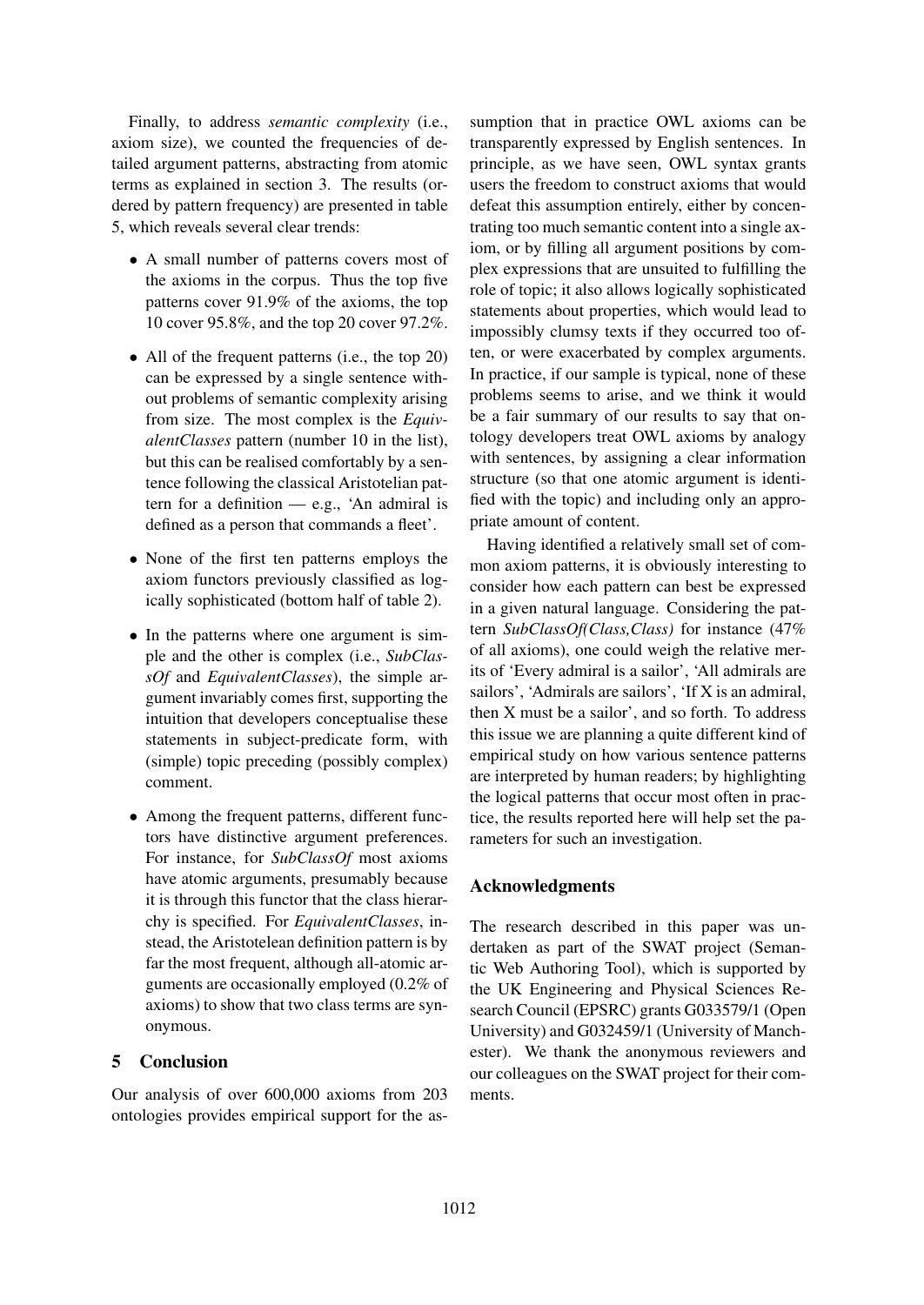Finally, to address *semantic complexity* (i.e., axiom size), we counted the frequencies of detailed argument patterns, abstracting from atomic terms as explained in section 3. The results (ordered by pattern frequency) are presented in table 5, which reveals several clear trends:

- A small number of patterns covers most of the axioms in the corpus. Thus the top five patterns cover 91.9% of the axioms, the top 10 cover 95.8%, and the top 20 cover 97.2%.
- All of the frequent patterns (i.e., the top 20) can be expressed by a single sentence without problems of semantic complexity arising from size. The most complex is the *EquivalentClasses* pattern (number 10 in the list), but this can be realised comfortably by a sentence following the classical Aristotelian pattern for a definition — e.g., 'An admiral is defined as a person that commands a fleet'.
- None of the first ten patterns employs the axiom functors previously classified as logically sophisticated (bottom half of table 2).
- In the patterns where one argument is simple and the other is complex (i.e., *SubClassOf* and *EquivalentClasses*), the simple argument invariably comes first, supporting the intuition that developers conceptualise these statements in subject-predicate form, with (simple) topic preceding (possibly complex) comment.
- Among the frequent patterns, different functors have distinctive argument preferences. For instance, for *SubClassOf* most axioms have atomic arguments, presumably because it is through this functor that the class hierarchy is specified. For *EquivalentClasses*, instead, the Aristotelean definition pattern is by far the most frequent, although all-atomic arguments are occasionally employed (0.2% of axioms) to show that two class terms are synonymous.

# 5 Conclusion

Our analysis of over 600,000 axioms from 203 ontologies provides empirical support for the assumption that in practice OWL axioms can be transparently expressed by English sentences. In principle, as we have seen, OWL syntax grants users the freedom to construct axioms that would defeat this assumption entirely, either by concentrating too much semantic content into a single axiom, or by filling all argument positions by complex expressions that are unsuited to fulfilling the role of topic; it also allows logically sophisticated statements about properties, which would lead to impossibly clumsy texts if they occurred too often, or were exacerbated by complex arguments. In practice, if our sample is typical, none of these problems seems to arise, and we think it would be a fair summary of our results to say that ontology developers treat OWL axioms by analogy with sentences, by assigning a clear information structure (so that one atomic argument is identified with the topic) and including only an appropriate amount of content.

Having identified a relatively small set of common axiom patterns, it is obviously interesting to consider how each pattern can best be expressed in a given natural language. Considering the pattern *SubClassOf(Class,Class)* for instance (47% of all axioms), one could weigh the relative merits of 'Every admiral is a sailor', 'All admirals are sailors', 'Admirals are sailors', 'If X is an admiral, then X must be a sailor', and so forth. To address this issue we are planning a quite different kind of empirical study on how various sentence patterns are interpreted by human readers; by highlighting the logical patterns that occur most often in practice, the results reported here will help set the parameters for such an investigation.

# Acknowledgments

The research described in this paper was undertaken as part of the SWAT project (Semantic Web Authoring Tool), which is supported by the UK Engineering and Physical Sciences Research Council (EPSRC) grants G033579/1 (Open University) and G032459/1 (University of Manchester). We thank the anonymous reviewers and our colleagues on the SWAT project for their comments.